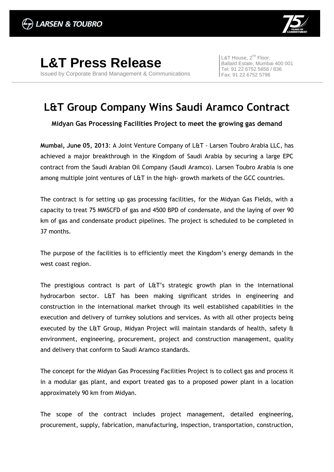

**L&T Press Release** Issued by Corporate Brand Management & Communications L&T House, 2<sup>nd</sup> Floor, Ballard Estate, Mumbai 400 001 Tel: 91 22 6752 5656 / 836 Fax: 91 22 6752 5796

## **L&T Group Company Wins Saudi Aramco Contract**

**Midyan Gas Processing Facilities Project to meet the growing gas demand**

**Mumbai, June 05, 2013**: A Joint Venture Company of L&T - Larsen Toubro Arabia LLC, has achieved a major breakthrough in the Kingdom of Saudi Arabia by securing a large EPC contract from the Saudi Arabian Oil Company (Saudi Aramco). Larsen Toubro Arabia is one among multiple joint ventures of L&T in the high- growth markets of the GCC countries.

The contract is for setting up gas processing facilities, for the Midyan Gas Fields, with a capacity to treat 75 MMSCFD of gas and 4500 BPD of condensate, and the laying of over 90 km of gas and condensate product pipelines. The project is scheduled to be completed in 37 months.

The purpose of the facilities is to efficiently meet the Kingdom's energy demands in the west coast region.

The prestigious contract is part of L&T's strategic growth plan in the international hydrocarbon sector. L&T has been making significant strides in engineering and construction in the international market through its well established capabilities in the execution and delivery of turnkey solutions and services. As with all other projects being executed by the L&T Group, Midyan Project will maintain standards of health, safety & environment, engineering, procurement, project and construction management, quality and delivery that conform to Saudi Aramco standards.

The concept for the Midyan Gas Processing Facilities Project is to collect gas and process it in a modular gas plant, and export treated gas to a proposed power plant in a location approximately 90 km from Midyan.

The scope of the contract includes project management, detailed engineering, procurement, supply, fabrication, manufacturing, inspection, transportation, construction,